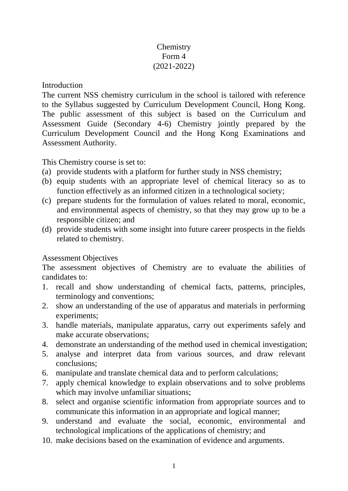# **Chemistry** Form 4 (2021-2022)

Introduction

The current NSS chemistry curriculum in the school is tailored with reference to the Syllabus suggested by Curriculum Development Council, Hong Kong. The public assessment of this subject is based on the Curriculum and Assessment Guide (Secondary 4-6) Chemistry jointly prepared by the Curriculum Development Council and the Hong Kong Examinations and Assessment Authority.

This Chemistry course is set to:

- (a) provide students with a platform for further study in NSS chemistry;
- (b) equip students with an appropriate level of chemical literacy so as to function effectively as an informed citizen in a technological society;
- (c) prepare students for the formulation of values related to moral, economic, and environmental aspects of chemistry, so that they may grow up to be a responsible citizen; and
- (d) provide students with some insight into future career prospects in the fields related to chemistry.

# Assessment Objectives

The assessment objectives of Chemistry are to evaluate the abilities of candidates to:

- 1. recall and show understanding of chemical facts, patterns, principles, terminology and conventions;
- 2. show an understanding of the use of apparatus and materials in performing experiments;
- 3. handle materials, manipulate apparatus, carry out experiments safely and make accurate observations;
- 4. demonstrate an understanding of the method used in chemical investigation;
- 5. analyse and interpret data from various sources, and draw relevant conclusions;
- 6. manipulate and translate chemical data and to perform calculations;
- 7. apply chemical knowledge to explain observations and to solve problems which may involve unfamiliar situations;
- 8. select and organise scientific information from appropriate sources and to communicate this information in an appropriate and logical manner;
- 9. understand and evaluate the social, economic, environmental and technological implications of the applications of chemistry; and
- 10. make decisions based on the examination of evidence and arguments.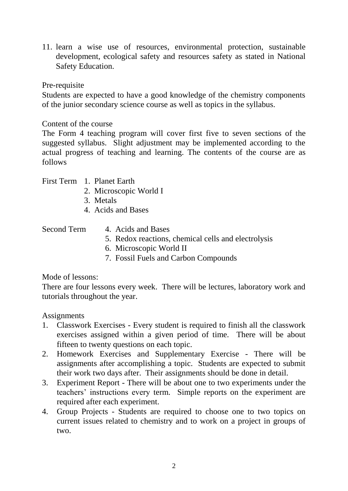11. learn a wise use of resources, environmental protection, sustainable development, ecological safety and resources safety as stated in National Safety Education.

#### Pre-requisite

Students are expected to have a good knowledge of the chemistry components of the junior secondary science course as well as topics in the syllabus.

# Content of the course

The Form 4 teaching program will cover first five to seven sections of the suggested syllabus. Slight adjustment may be implemented according to the actual progress of teaching and learning. The contents of the course are as follows

- 2. Microscopic World I
- 3. Metals
- 4. Acids and Bases

# Second Term 4. Acids and Bases

- 5. Redox reactions, chemical cells and electrolysis
- 6. Microscopic World II
- 7. Fossil Fuels and Carbon Compounds

# Mode of lessons:

There are four lessons every week. There will be lectures, laboratory work and tutorials throughout the year.

# **Assignments**

- 1. Classwork Exercises Every student is required to finish all the classwork exercises assigned within a given period of time. There will be about fifteen to twenty questions on each topic.
- 2. Homework Exercises and Supplementary Exercise There will be assignments after accomplishing a topic. Students are expected to submit their work two days after. Their assignments should be done in detail.
- 3. Experiment Report There will be about one to two experiments under the teachers' instructions every term. Simple reports on the experiment are required after each experiment.
- 4. Group Projects Students are required to choose one to two topics on current issues related to chemistry and to work on a project in groups of two.